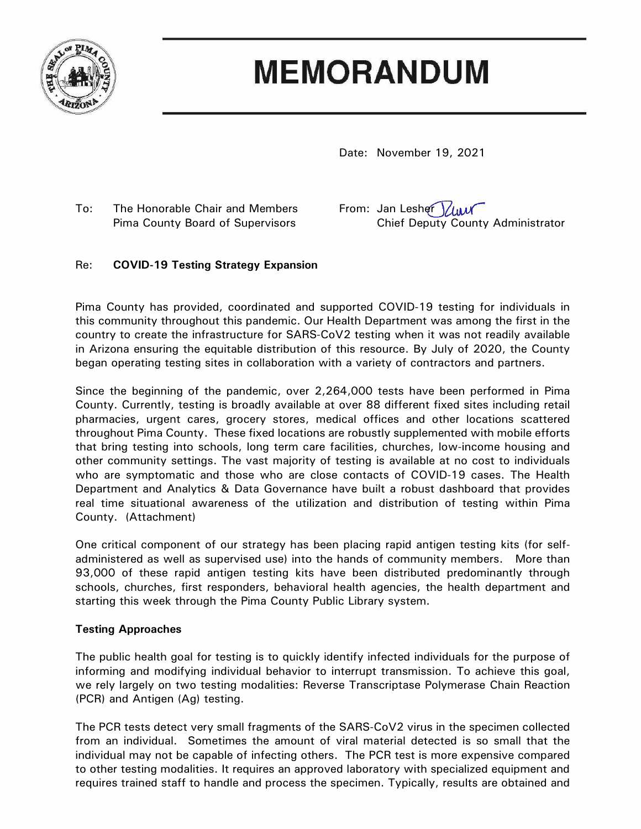

# **MEMORANDUM**

Date: November 19, 2021

To: The Honorable Chair and Members From: Jan Lesher Yun

Pima County Board of Supervisors Chief Deputy County Administrator

# Re: **COVID-19 Testing Strategy Expansion**

Pima County has provided, coordinated and supported COVID-19 testing for individuals in this community throughout this pandemic. Our Health Department was among the first in the country to create the infrastructure for SARS-CoV2 testing when it was not readily available in Arizona ensuring the equitable distribution of this resource. By July of 2020, the County began operating testing sites in collaboration with a variety of contractors and partners.

Since the beginning of the pandemic, over 2,264,000 tests have been performed in Pima County. Currently, testing is broadly available at over 88 different fixed sites including retail pharmacies, urgent cares, grocery stores, medical offices and other locations scattered throughout Pima County. These fixed locations are robustly supplemented with mobile efforts that bring testing into schools, long term care facilities, churches, low-income housing and other community settings. The vast majority of testing is available at no cost to individuals who are symptomatic and those who are close contacts of COVID-19 cases. The Health Department and Analytics & Data Governance have built a robust dashboard that provides real time situational awareness of the utilization and distribution of testing within Pima County. (Attachment)

One critical component of our strategy has been placing rapid antigen testing kits (for selfadministered as well as supervised use) into the hands of community members. More than 93,000 of these rapid antigen testing kits have been distributed predominantly through schools, churches, first responders, behavioral health agencies, the health department and starting this week through the Pima County Public Library system.

## **Testing Approaches**

The public health goal for testing is to quickly identify infected individuals for the purpose of informing and modifying individual behavior to interrupt transmission. To achieve this goal, we rely largely on two testing modalities: Reverse Transcriptase Polymerase Chain Reaction (PCR) and Antigen (Ag) testing.

The PCR tests detect very small fragments of the SARS-CoV2 virus in the specimen collected from an individual. Sometimes the amount of viral material detected is so small that the individual may not be capable of infecting others. The PCR test is more expensive compared to other testing modalities. It requires an approved laboratory with specialized equipment and requires trained staff to handle and process the specimen. Typically, results are obtained and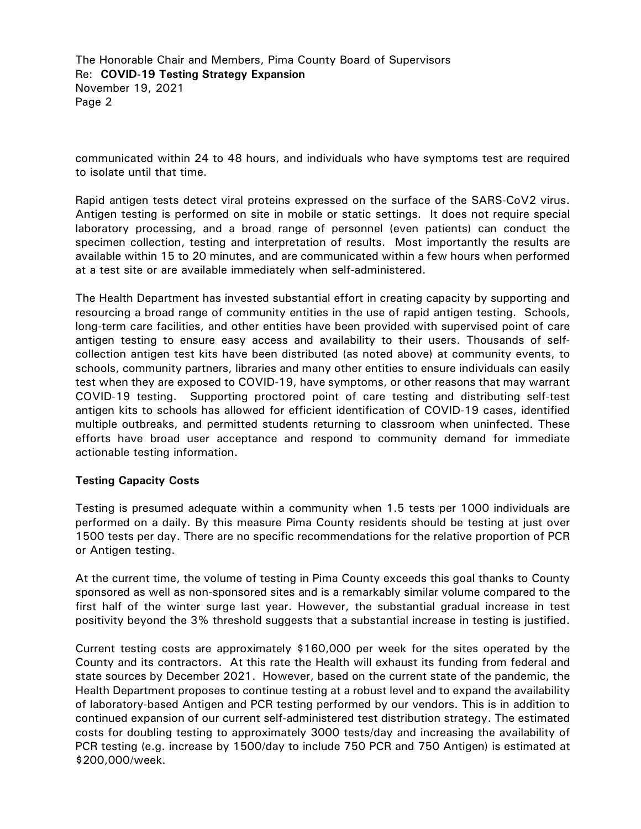The Honorable Chair and Members, Pima County Board of Supervisors Re: **COVID-19 Testing Strategy Expansion** November 19, 2021 Page 2

communicated within 24 to 48 hours, and individuals who have symptoms test are required to isolate until that time.

Rapid antigen tests detect viral proteins expressed on the surface of the SARS-CoV2 virus. Antigen testing is performed on site in mobile or static settings. It does not require special laboratory processing, and a broad range of personnel (even patients) can conduct the specimen collection, testing and interpretation of results. Most importantly the results are available within 15 to 20 minutes, and are communicated within a few hours when performed at a test site or are available immediately when self-administered.

The Health Department has invested substantial effort in creating capacity by supporting and resourcing a broad range of community entities in the use of rapid antigen testing. Schools, long-term care facilities, and other entities have been provided with supervised point of care antigen testing to ensure easy access and availability to their users. Thousands of selfcollection antigen test kits have been distributed (as noted above) at community events, to schools, community partners, libraries and many other entities to ensure individuals can easily test when they are exposed to COVID-19, have symptoms, or other reasons that may warrant COVID-19 testing. Supporting proctored point of care testing and distributing self-test antigen kits to schools has allowed for efficient identification of COVID-19 cases, identified multiple outbreaks, and permitted students returning to classroom when uninfected. These efforts have broad user acceptance and respond to community demand for immediate actionable testing information.

#### **Testing Capacity Costs**

Testing is presumed adequate within a community when 1.5 tests per 1000 individuals are performed on a daily. By this measure Pima County residents should be testing at just over 1500 tests per day. There are no specific recommendations for the relative proportion of PCR or Antigen testing.

At the current time, the volume of testing in Pima County exceeds this goal thanks to County sponsored as well as non-sponsored sites and is a remarkably similar volume compared to the first half of the winter surge last year. However, the substantial gradual increase in test positivity beyond the 3% threshold suggests that a substantial increase in testing is justified.

Current testing costs are approximately \$160,000 per week for the sites operated by the County and its contractors. At this rate the Health will exhaust its funding from federal and state sources by December 2021. However, based on the current state of the pandemic, the Health Department proposes to continue testing at a robust level and to expand the availability of laboratory-based Antigen and PCR testing performed by our vendors. This is in addition to continued expansion of our current self-administered test distribution strategy. The estimated costs for doubling testing to approximately 3000 tests/day and increasing the availability of PCR testing (e.g. increase by 1500/day to include 750 PCR and 750 Antigen) is estimated at \$200,000/week.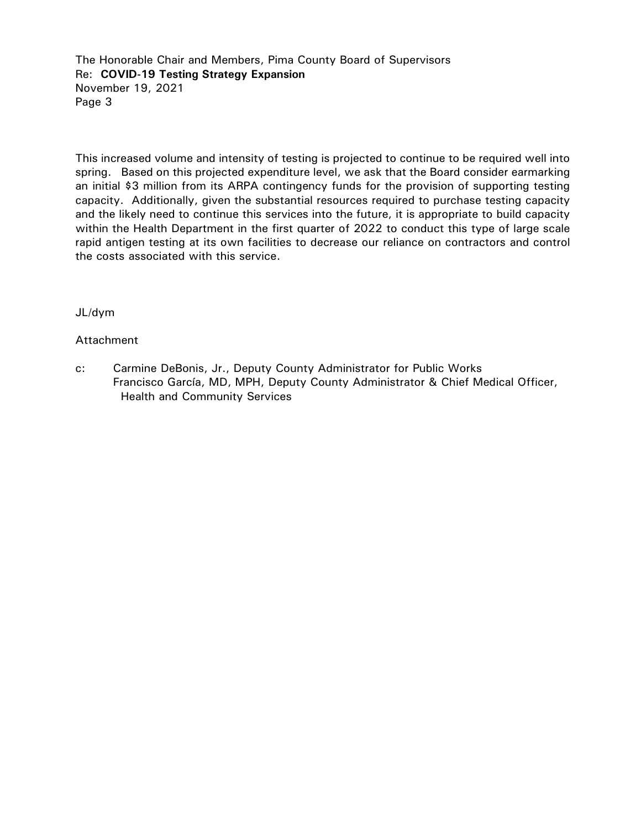The Honorable Chair and Members, Pima County Board of Supervisors Re: **COVID-19 Testing Strategy Expansion** November 19, 2021 Page 3

This increased volume and intensity of testing is projected to continue to be required well into spring. Based on this projected expenditure level, we ask that the Board consider earmarking an initial \$3 million from its ARPA contingency funds for the provision of supporting testing capacity. Additionally, given the substantial resources required to purchase testing capacity and the likely need to continue this services into the future, it is appropriate to build capacity within the Health Department in the first quarter of 2022 to conduct this type of large scale rapid antigen testing at its own facilities to decrease our reliance on contractors and control the costs associated with this service.

## JL/dym

#### Attachment

c: Carmine DeBonis, Jr., Deputy County Administrator for Public Works Francisco García, MD, MPH, Deputy County Administrator & Chief Medical Officer, Health and Community Services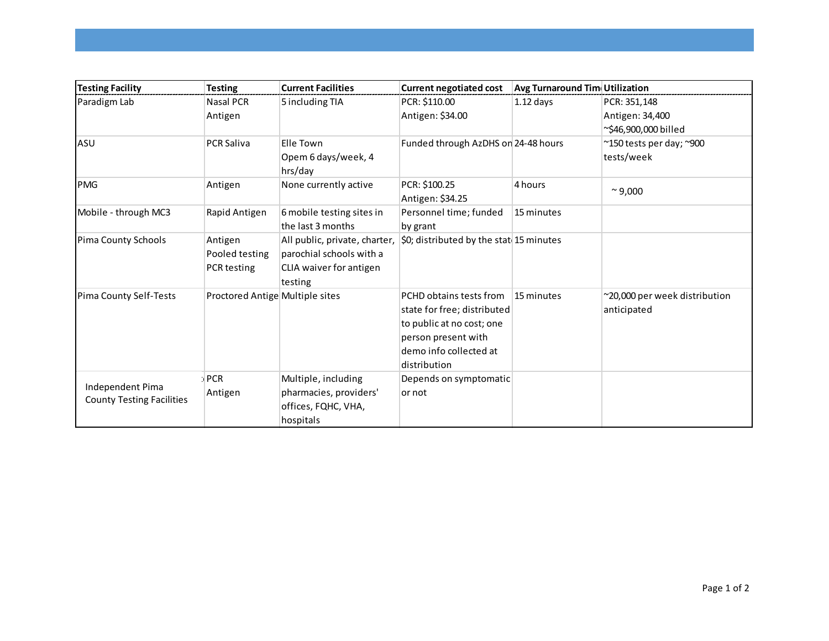| <b>Testing Facility</b>                              | <b>Testing</b>                           | <b>Current Facilities</b>                                                                                                                       | <b>Current negotiated cost</b>                                                                                                                       | <b>Avg Turnaround Tim Utilization</b> |                                                          |
|------------------------------------------------------|------------------------------------------|-------------------------------------------------------------------------------------------------------------------------------------------------|------------------------------------------------------------------------------------------------------------------------------------------------------|---------------------------------------|----------------------------------------------------------|
| Paradigm Lab                                         | <b>Nasal PCR</b><br>Antigen              | 5 including TIA                                                                                                                                 | PCR: \$110.00<br>Antigen: \$34.00                                                                                                                    | $1.12$ days                           | PCR: 351,148<br>Antigen: 34,400<br>~\$46,900,000 billed  |
| ASU                                                  | <b>PCR Saliva</b>                        | Elle Town<br>Opem 6 days/week, 4<br>hrs/day                                                                                                     | Funded through AzDHS on 24-48 hours                                                                                                                  |                                       | $\approx$ 150 tests per day; $\approx$ 900<br>tests/week |
| <b>PMG</b>                                           | Antigen                                  | None currently active                                                                                                                           | PCR: \$100.25<br>Antigen: \$34.25                                                                                                                    | 4 hours                               | $^{\sim}$ 9,000                                          |
| Mobile - through MC3                                 | Rapid Antigen                            | 6 mobile testing sites in<br>the last 3 months                                                                                                  | Personnel time; funded<br>by grant                                                                                                                   | 15 minutes                            |                                                          |
| Pima County Schools                                  | Antigen<br>Pooled testing<br>PCR testing | All public, private, charter, $\vert$ \$0; distributed by the stat 15 minutes<br>parochial schools with a<br>CLIA waiver for antigen<br>testing |                                                                                                                                                      |                                       |                                                          |
| Pima County Self-Tests                               | Proctored Antige Multiple sites          |                                                                                                                                                 | PCHD obtains tests from<br>state for free; distributed<br>to public at no cost; one<br>person present with<br>demo info collected at<br>distribution | 15 minutes                            | ~20,000 per week distribution<br>anticipated             |
| Independent Pima<br><b>County Testing Facilities</b> | $:$ PCR<br>Antigen                       | Multiple, including<br>pharmacies, providers'<br>offices, FQHC, VHA,<br>hospitals                                                               | Depends on symptomatic<br>or not                                                                                                                     |                                       |                                                          |